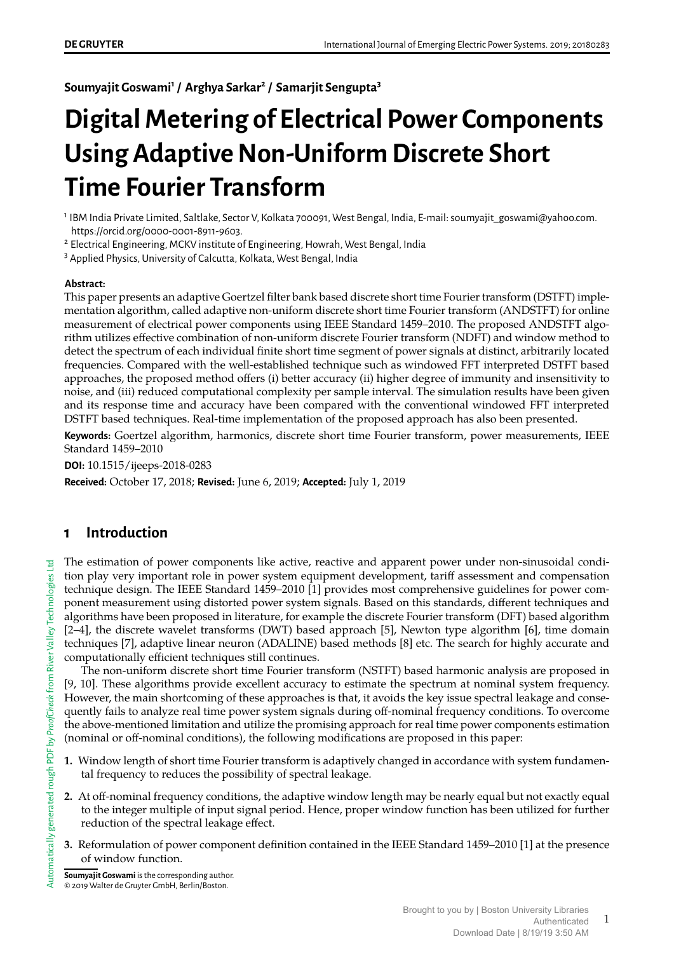**Soumyajit Goswami<sup>1</sup> / Arghya Sarkar<sup>2</sup> / Samarjit Sengupta<sup>3</sup>**

# **Digital Metering of Electrical Power Components Using Adaptive Non-Uniform Discrete Short Time Fourier Transform**

<sup>1</sup> IBM India Private Limited, Saltlake, Sector V, Kolkata 700091, West Bengal, India, E-mail: soumyajit\_goswami@yahoo.com. https://orcid.org/0000-0001-8911-9603.

<sup>2</sup> Electrical Engineering, MCKV institute of Engineering, Howrah, West Bengal, India

<sup>3</sup> Applied Physics, University of Calcutta, Kolkata, West Bengal, India

#### **Abstract:**

This paper presents an adaptive Goertzel filter bank based discrete short time Fourier transform (DSTFT) implementation algorithm, called adaptive non-uniform discrete short time Fourier transform (ANDSTFT) for online measurement of electrical power components using IEEE Standard 1459–2010. The proposed ANDSTFT algorithm utilizes effective combination of non-uniform discrete Fourier transform (NDFT) and window method to detect the spectrum of each individual finite short time segment of power signals at distinct, arbitrarily located frequencies. Compared with the well-established technique such as windowed FFT interpreted DSTFT based approaches, the proposed method offers (i) better accuracy (ii) higher degree of immunity and insensitivity to noise, and (iii) reduced computational complexity per sample interval. The simulation results have been given and its response time and accuracy have been compared with the conventional windowed FFT interpreted DSTFT based techniques. Real-time implementation of the proposed approach has also been presented.

**Keywords:** Goertzel algorithm, harmonics, discrete short time Fourier transform, power measurements, IEEE Standard 1459–2010

**DOI:** 10.1515/ijeeps-2018-0283

**Received:** October 17, 2018; **Revised:** June 6, 2019; **Accepted:** July 1, 2019

# **1 Introduction**

The estimation of power components like active, reactive and apparent power under non-sinusoidal condition play very important role in power system equipment development, tariff assessment and compensation technique design. The IEEE Standard 1459–2010 [1] provides most comprehensive guidelines for power component measurement using distorted power system signals. Based on this standards, different techniques and algorithms have been proposed in literature, for example the discrete Fourier transform (DFT) based algorithm [2–4], the discrete wavelet transforms (DWT) based approach [5], Newton type algorithm [6], time domain techniques [7], adaptive linear neuron (ADALINE) based methods [8] etc. The search for highly accurate and computationally efficient techniques still continues.

The non-uniform discrete short time Fourier transform (NSTFT) based harmonic analysis are proposed in [9, 10]. These algorithms provide excellent accuracy to estimate the spectrum at nominal system frequency. However, the main shortcoming of these approaches is that, it avoids the key issue spectral leakage and consequently fails to analyze real time power system signals during off-nominal frequency conditions. To overcome the above-mentioned limitation and utilize the promising approach for real time power components estimation (nominal or off-nominal conditions), the following modifications are proposed in this paper:

- **1.** Window length of short time Fourier transform is adaptively changed in accordance with system fundamental frequency to reduces the possibility of spectral leakage.
- **2.** At off-nominal frequency conditions, the adaptive window length may be nearly equal but not exactly equal to the integer multiple of input signal period. Hence, proper window function has been utilized for further reduction of the spectral leakage effect.
- **3.** Reformulation of power component definition contained in the IEEE Standard 1459–2010 [1] at the presence of window function.

**Soumyajit Goswami** is the corresponding author. © 2019 Walter de Gruyter GmbH, Berlin/Boston.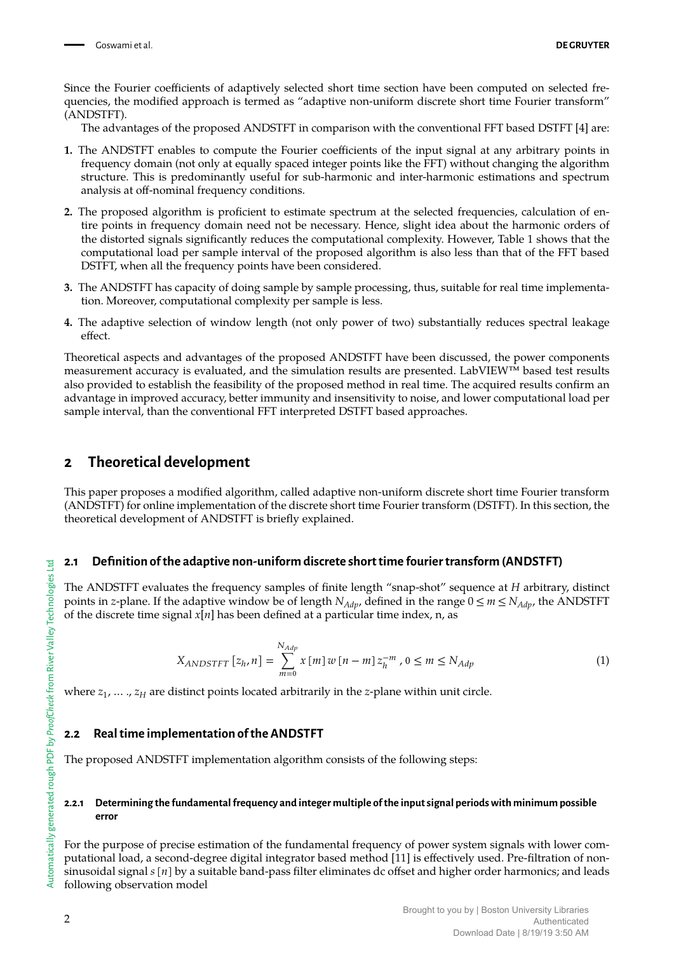Since the Fourier coefficients of adaptively selected short time section have been computed on selected frequencies, the modified approach is termed as "adaptive non-uniform discrete short time Fourier transform" (ANDSTFT).

The advantages of the proposed ANDSTFT in comparison with the conventional FFT based DSTFT [4] are:

- **1.** The ANDSTFT enables to compute the Fourier coefficients of the input signal at any arbitrary points in frequency domain (not only at equally spaced integer points like the FFT) without changing the algorithm structure. This is predominantly useful for sub-harmonic and inter-harmonic estimations and spectrum analysis at off-nominal frequency conditions.
- **2.** The proposed algorithm is proficient to estimate spectrum at the selected frequencies, calculation of entire points in frequency domain need not be necessary. Hence, slight idea about the harmonic orders of the distorted signals significantly reduces the computational complexity. However, Table 1 shows that the computational load per sample interval of the proposed algorithm is also less than that of the FFT based DSTFT, when all the frequency points have been considered.
- **3.** The ANDSTFT has capacity of doing sample by sample processing, thus, suitable for real time implementation. Moreover, computational complexity per sample is less.
- **4.** The adaptive selection of window length (not only power of two) substantially reduces spectral leakage effect.

Theoretical aspects and advantages of the proposed ANDSTFT have been discussed, the power components measurement accuracy is evaluated, and the simulation results are presented. LabVIEW™ based test results also provided to establish the feasibility of the proposed method in real time. The acquired results confirm an advantage in improved accuracy, better immunity and insensitivity to noise, and lower computational load per sample interval, than the conventional FFT interpreted DSTFT based approaches.

# **2 Theoretical development**

This paper proposes a modified algorithm, called adaptive non-uniform discrete short time Fourier transform (ANDSTFT) for online implementation of the discrete short time Fourier transform (DSTFT). In this section, the theoretical development of ANDSTFT is briefly explained.

### **2.1 Definition of the adaptive non-uniform discrete short time fourier transform (ANDSTFT)**

The ANDSTFT evaluates the frequency samples of finite length "snap-shot" sequence at *H* arbitrary, distinct points in *z*-plane. If the adaptive window be of length  $N_{Adp}$ , defined in the range  $0 \le m \le N_{Adp}$ , the ANDSTFT of the discrete time signal  $x[n]$  has been defined at a particular time index, n, as

$$
X_{ANDSTFT} [z_h, n] = \sum_{m=0}^{N_{Adp}} x [m] w [n - m] z_h^{-m}, 0 \le m \le N_{Adp}
$$
 (1)

where  $z_1, \ldots, z_H$  are distinct points located arbitrarily in the *z*-plane within unit circle.

### **2.2 Real time implementation of the ANDSTFT**

The proposed ANDSTFT implementation algorithm consists of the following steps:

#### **2.2.1 Determining the fundamental frequency and integer multiple of the input signal periods with minimum possible error**

For the purpose of precise estimation of the fundamental frequency of power system signals with lower computational load, a second-degree digital integrator based method [11] is effectively used. Pre-filtration of nonsinusoidal signal  $s[n]$  by a suitable band-pass filter eliminates dc offset and higher order harmonics; and leads following observation model

2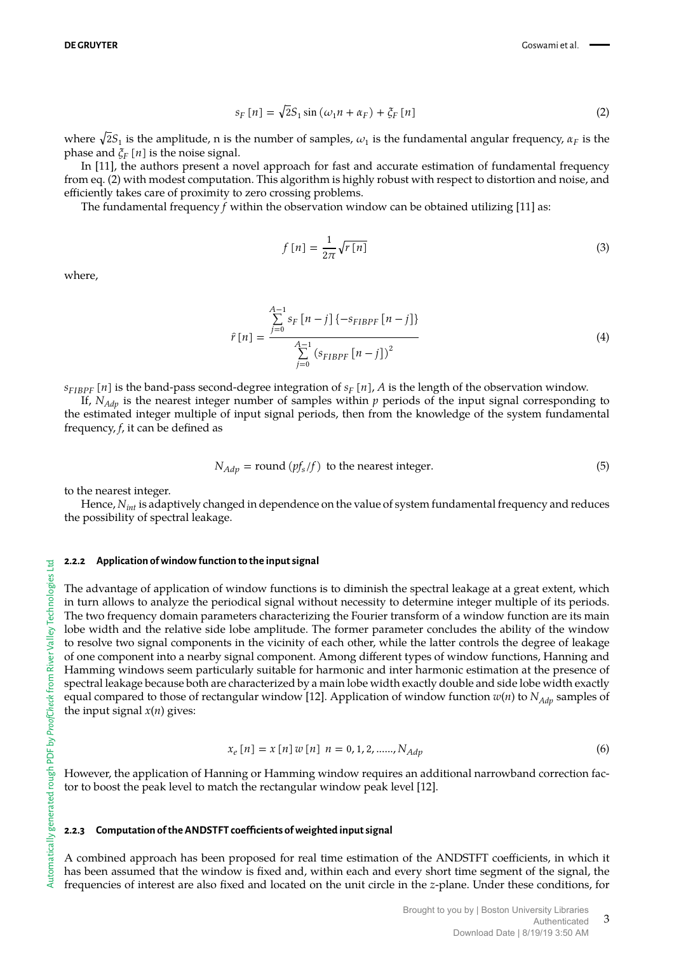$$
s_F[n] = \sqrt{2}S_1 \sin \left(\omega_1 n + \alpha_F\right) + \xi_F[n] \tag{2}
$$

where  $\sqrt{2S_1}$  is the amplitude, n is the number of samples,  $\omega_1$  is the fundamental angular frequency,  $\alpha_F$  is the phase and  $\zeta_F[n]$  is the noise signal.

In [11], the authors present a novel approach for fast and accurate estimation of fundamental frequency from eq. (2) with modest computation. This algorithm is highly robust with respect to distortion and noise, and efficiently takes care of proximity to zero crossing problems.

The fundamental frequency  $f$  within the observation window can be obtained utilizing [11] as:

$$
f[n] = \frac{1}{2\pi} \sqrt{r[n]} \tag{3}
$$

where,

$$
\hat{r}[n] = \frac{\sum_{j=0}^{A-1} s_F [n-j] \{-s_{FIBPF} [n-j] \}}{\sum_{j=0}^{A-1} (s_{FIBPF} [n-j])^2}
$$
\n(4)

 $s_{FIBPF}[n]$  is the band-pass second-degree integration of  $s_F[n]$ , *A* is the length of the observation window.

If,  $N_{Adv}$  is the nearest integer number of samples within  $p$  periods of the input signal corresponding to the estimated integer multiple of input signal periods, then from the knowledge of the system fundamental frequency, *f*, it can be defined as

$$
N_{Adp} = \text{round}(pf_s/f) \text{ to the nearest integer.}
$$
 (5)

to the nearest integer.

Hence, *Nint* is adaptively changed in dependence on the value of system fundamental frequency and reduces the possibility of spectral leakage.

#### **2.2.2 Application of window function to the input signal**

The advantage of application of window functions is to diminish the spectral leakage at a great extent, which in turn allows to analyze the periodical signal without necessity to determine integer multiple of its periods. The two frequency domain parameters characterizing the Fourier transform of a window function are its main lobe width and the relative side lobe amplitude. The former parameter concludes the ability of the window to resolve two signal components in the vicinity of each other, while the latter controls the degree of leakage of one component into a nearby signal component. Among different types of window functions, Hanning and Hamming windows seem particularly suitable for harmonic and inter harmonic estimation at the presence of spectral leakage because both are characterized by a main lobe width exactly double and side lobe width exactly equal compared to those of rectangular window [12]. Application of window function  $w(n)$  to  $N_{Adn}$  samples of the input signal  $x(n)$  gives:

$$
x_e[n] = x[n]w[n] \ n = 0, 1, 2, \dots, N_{Adp}
$$
 (6)

However, the application of Hanning or Hamming window requires an additional narrowband correction factor to boost the peak level to match the rectangular window peak level [12].

#### **2.2.3 Computation of the ANDSTFT coefficients of weighted input signal**

A combined approach has been proposed for real time estimation of the ANDSTFT coefficients, in which it has been assumed that the window is fixed and, within each and every short time segment of the signal, the frequencies of interest are also fixed and located on the unit circle in the *z*-plane. Under these conditions, for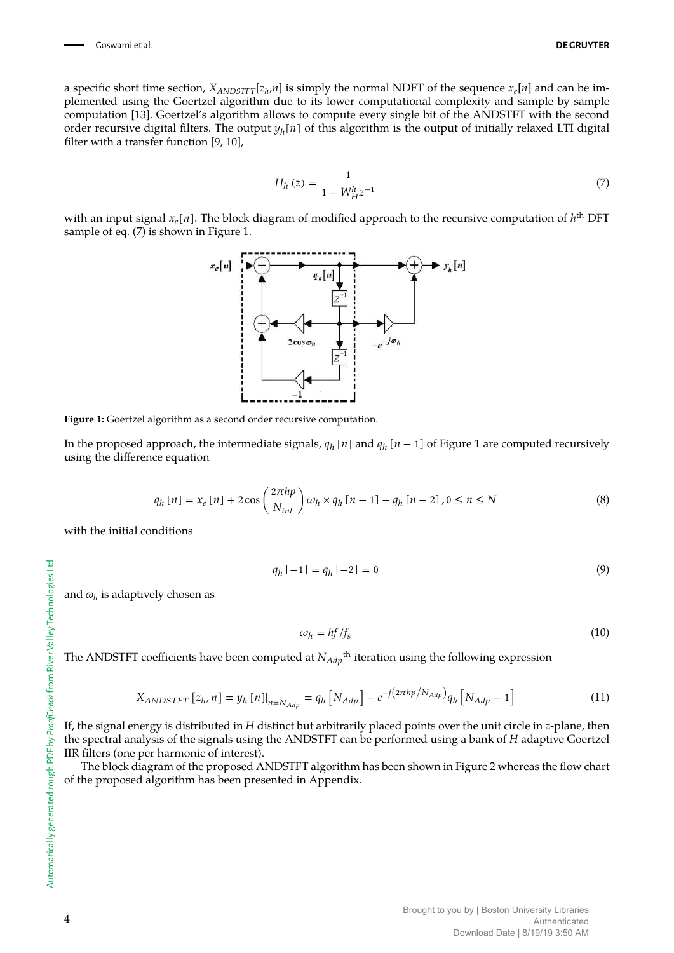a specific short time section,  $X_{ANDSTFT}[z_h,n]$  is simply the normal NDFT of the sequence  $x_e[n]$  and can be implemented using the Goertzel algorithm due to its lower computational complexity and sample by sample computation [13]. Goertzel's algorithm allows to compute every single bit of the ANDSTFT with the second order recursive digital filters. The output  $y_h[n]$  of this algorithm is the output of initially relaxed LTI digital filter with a transfer function [9, 10],

$$
H_h(z) = \frac{1}{1 - W_{H}^h z^{-1}}
$$
\n(7)

with an input signal  $x_e[n]$ . The block diagram of modified approach to the recursive computation of  $h<sup>th</sup>$  DFT sample of eq. (7) is shown in Figure 1.



**Figure 1:** Goertzel algorithm as a second order recursive computation.

In the proposed approach, the intermediate signals,  $q_h$  [n] and  $q_h$  [n – 1] of Figure 1 are computed recursively using the difference equation

$$
q_h[n] = x_e[n] + 2\cos\left(\frac{2\pi h p}{N_{int}}\right)\omega_h \times q_h[n-1] - q_h[n-2], 0 \le n \le N
$$
\n(8)

with the initial conditions

$$
q_h[-1] = q_h[-2] = 0 \tag{9}
$$

and *ω<sup>h</sup>* is adaptively chosen as

$$
\omega_h = h f / f_s \tag{10}
$$

The ANDSTFT coefficients have been computed at  $N_{Adp}^{\phantom{\dag}}^{\phantom{\dag}}$  iteration using the following expression

$$
X_{ANDSTFT} [z_h, n] = y_h [n]_{n=N_{Adp}} = q_h [N_{Adp}] - e^{-j(2\pi h p / N_{Adp})} q_h [N_{Adp} - 1]
$$
\n(11)

If, the signal energy is distributed in *H* distinct but arbitrarily placed points over the unit circle in *z*-plane, then the spectral analysis of the signals using the ANDSTFT can be performed using a bank of *H* adaptive Goertzel IIR filters (one per harmonic of interest).

The block diagram of the proposed ANDSTFT algorithm has been shown in Figure 2 whereas the flow chart of the proposed algorithm has been presented in Appendix.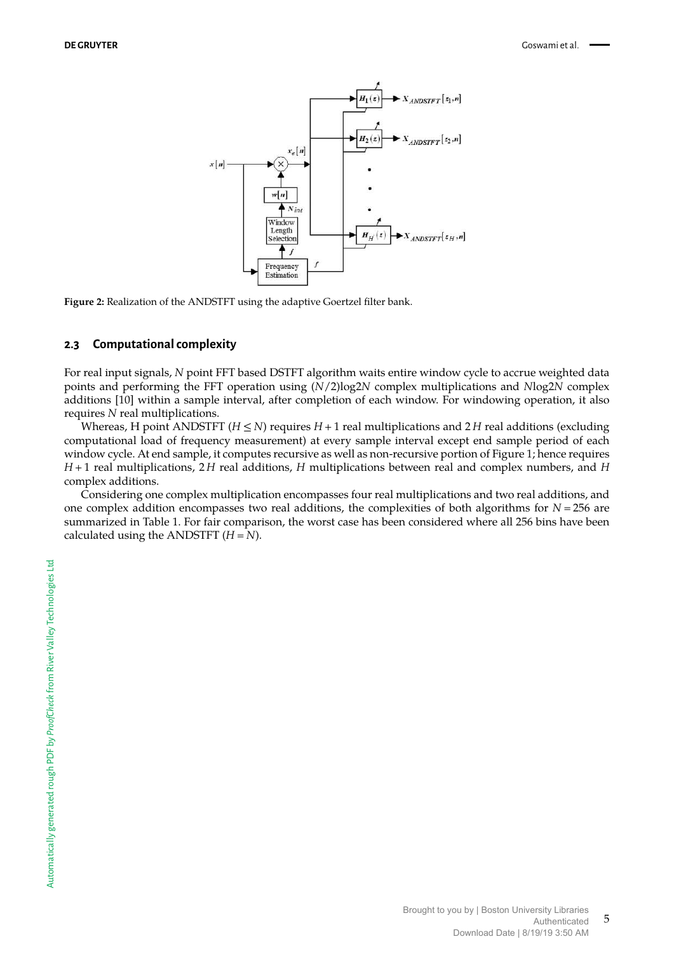

**Figure 2:** Realization of the ANDSTFT using the adaptive Goertzel filter bank.

#### **2.3 Computational complexity**

For real input signals, *N* point FFT based DSTFT algorithm waits entire window cycle to accrue weighted data points and performing the FFT operation using (*N*/2)log2*N* complex multiplications and *N*log2*N* complex additions [10] within a sample interval, after completion of each window. For windowing operation, it also requires *N* real multiplications.

Whereas, H point ANDSTFT ( $H \leq N$ ) requires  $H + 1$  real multiplications and 2H real additions (excluding computational load of frequency measurement) at every sample interval except end sample period of each window cycle. At end sample, it computes recursive as well as non-recursive portion of Figure 1; hence requires *H* + 1 real multiplications, 2 *H* real additions, *H* multiplications between real and complex numbers, and *H* complex additions.

Considering one complex multiplication encompasses four real multiplications and two real additions, and one complex addition encompasses two real additions, the complexities of both algorithms for *N* = 256 are summarized in Table 1. For fair comparison, the worst case has been considered where all 256 bins have been calculated using the ANDSTFT  $(H = N)$ .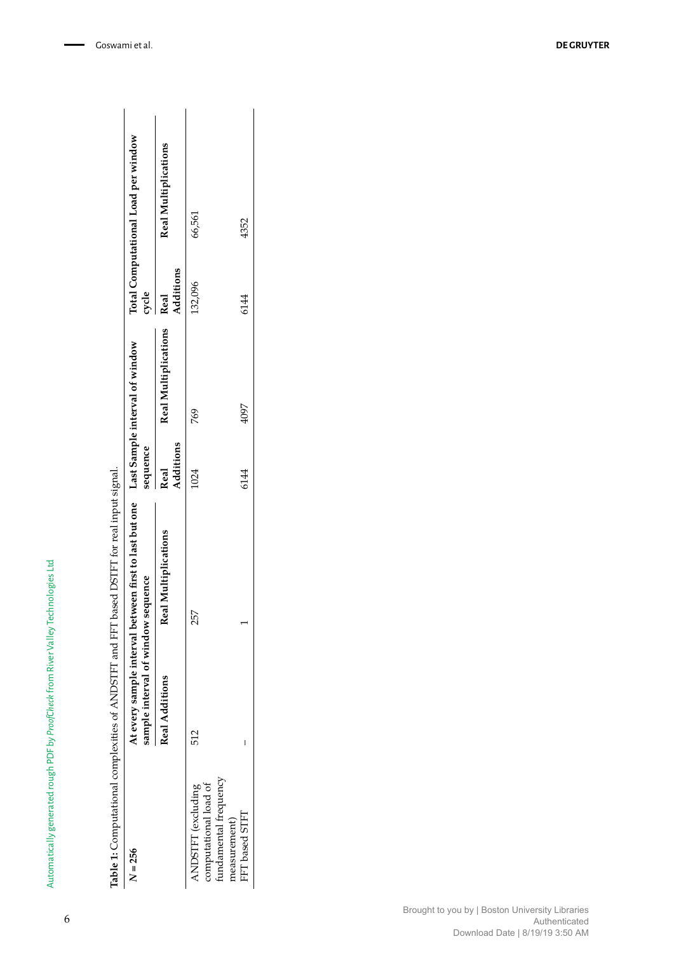|                                                    | Total Computational Load per window<br>cycle                                | <b>Real Multiplications</b><br>Additions<br>Real | 66,561<br>132,096                                                                   | 4352<br>6144   |
|----------------------------------------------------|-----------------------------------------------------------------------------|--------------------------------------------------|-------------------------------------------------------------------------------------|----------------|
| FFT based DSTFT for real input signal.             | al between first to last but one Last Sample interval of window<br>sequence | <b>Real Multiplications</b><br>Additions<br>Real | 769<br>1024                                                                         | 4097<br>6144   |
|                                                    | sample interval of window sequence<br>At every sample interva               | Real Multiplications<br>Real Additions           | 257<br>512                                                                          | I              |
| Table 1: Computational complexities of ANDSTFT and | $N = 256$                                                                   |                                                  | undamental frequency<br>computational load of<br>ANDSTFT (excluding<br>measurement) | FFT based STFT |

Automatically generated rough PDF by *ProofCheck* from River Valley Technologies Ltd

Automatically generated rough PDF by ProofCheck from River Valley Technologies Ltd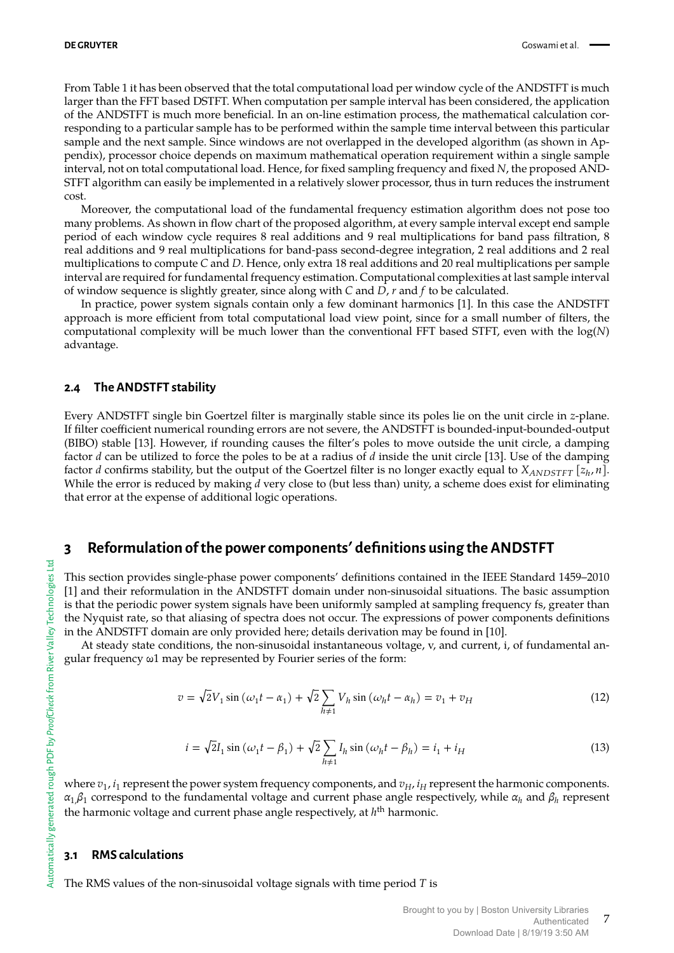From Table 1 it has been observed that the total computational load per window cycle of the ANDSTFT is much larger than the FFT based DSTFT. When computation per sample interval has been considered, the application of the ANDSTFT is much more beneficial. In an on-line estimation process, the mathematical calculation corresponding to a particular sample has to be performed within the sample time interval between this particular sample and the next sample. Since windows are not overlapped in the developed algorithm (as shown in Appendix), processor choice depends on maximum mathematical operation requirement within a single sample interval, not on total computational load. Hence, for fixed sampling frequency and fixed *N*, the proposed AND-STFT algorithm can easily be implemented in a relatively slower processor, thus in turn reduces the instrument cost.

Moreover, the computational load of the fundamental frequency estimation algorithm does not pose too many problems. As shown in flow chart of the proposed algorithm, at every sample interval except end sample period of each window cycle requires 8 real additions and 9 real multiplications for band pass filtration, 8 real additions and 9 real multiplications for band-pass second-degree integration, 2 real additions and 2 real multiplications to compute *C* and *D*. Hence, only extra 18 real additions and 20 real multiplications per sample interval are required for fundamental frequency estimation. Computational complexities at last sample interval of window sequence is slightly greater, since along with *C* and *D*, *r* and *f* to be calculated.

In practice, power system signals contain only a few dominant harmonics [1]. In this case the ANDSTFT approach is more efficient from total computational load view point, since for a small number of filters, the computational complexity will be much lower than the conventional FFT based STFT, even with the log(*N*) advantage.

#### **2.4 The ANDSTFT stability**

Every ANDSTFT single bin Goertzel filter is marginally stable since its poles lie on the unit circle in *z*-plane. If filter coefficient numerical rounding errors are not severe, the ANDSTFT is bounded-input-bounded-output (BIBO) stable [13]. However, if rounding causes the filter's poles to move outside the unit circle, a damping factor *d* can be utilized to force the poles to be at a radius of *d* inside the unit circle [13]. Use of the damping factor *d* confirms stability, but the output of the Goertzel filter is no longer exactly equal to  $X_{ANDSTFT}$  [ $z_h$ ,  $n$ ]. While the error is reduced by making *d* very close to (but less than) unity, a scheme does exist for eliminating that error at the expense of additional logic operations.

# **3 Reformulation of the power components**' **definitions using the ANDSTFT**

This section provides single-phase power components' definitions contained in the IEEE Standard 1459–2010 [1] and their reformulation in the ANDSTFT domain under non-sinusoidal situations. The basic assumption is that the periodic power system signals have been uniformly sampled at sampling frequency fs, greater than the Nyquist rate, so that aliasing of spectra does not occur. The expressions of power components definitions in the ANDSTFT domain are only provided here; details derivation may be found in [10].

At steady state conditions, the non-sinusoidal instantaneous voltage, v, and current, i, of fundamental angular frequency ω1 may be represented by Fourier series of the form:

$$
v = \sqrt{2}V_1 \sin\left(\omega_1 t - \alpha_1\right) + \sqrt{2}\sum_{h \neq 1} V_h \sin\left(\omega_h t - \alpha_h\right) = v_1 + v_H \tag{12}
$$

$$
i = \sqrt{2}I_1 \sin (\omega_1 t - \beta_1) + \sqrt{2} \sum_{h \neq 1} I_h \sin (\omega_h t - \beta_h) = i_1 + i_H
$$
 (13)

where  $v_1$ ,  $i_1$  represent the power system frequency components, and  $v_H$ ,  $i_H$  represent the harmonic components. *α*1,*β*<sup>1</sup> correspond to the fundamental voltage and current phase angle respectively, while *α<sup>h</sup>* and *β<sup>h</sup>* represent the harmonic voltage and current phase angle respectively, at *h*<sup>th</sup> harmonic.

#### **3.1 RMS calculations**

The RMS values of the non-sinusoidal voltage signals with time period *T* is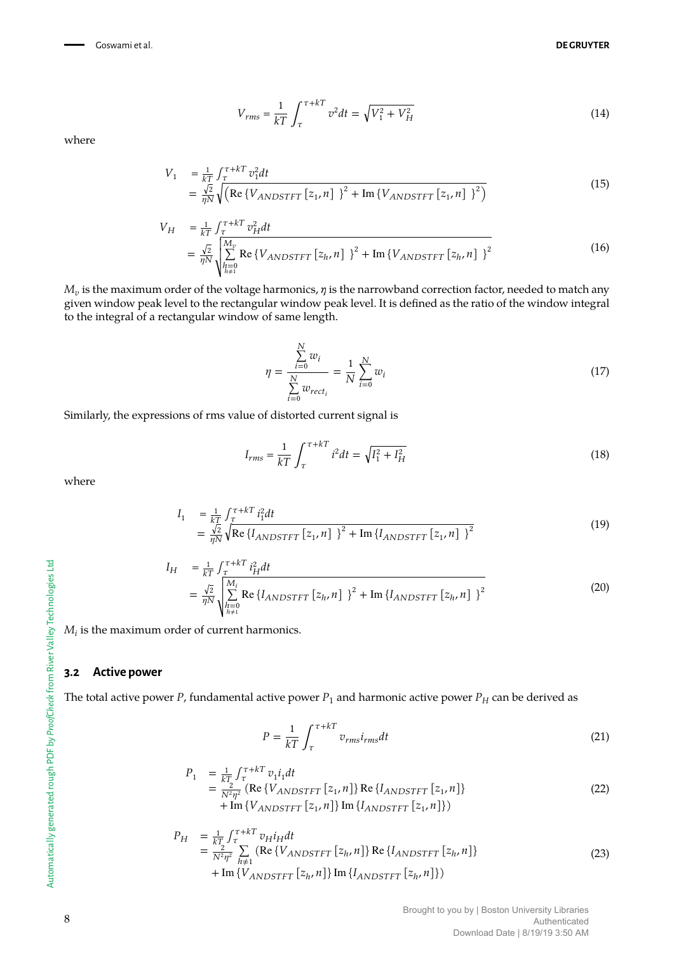Goswami et al. **DE GRUYTER**

$$
V_{rms} = \frac{1}{kT} \int_{\tau}^{\tau + kT} v^2 dt = \sqrt{V_1^2 + V_H^2}
$$
 (14)

where

$$
V_{1} = \frac{1}{kT} \int_{\tau}^{\tau + kT} v_{1}^{2} dt
$$
  
=  $\frac{\sqrt{2}}{\eta N} \sqrt{\left( \text{Re} \{ V_{ANDSTFT} [z_{1}, n] \}^{2} + \text{Im} \{ V_{ANDSTFT} [z_{1}, n] \}^{2} \right)}$  (15)

$$
V_{H} = \frac{1}{kT} \int_{\tau}^{\tau + kT} v_{H}^{2} dt
$$
  
=  $\frac{\sqrt{2}}{\eta N} \sqrt{\sum_{h=0}^{M_{v}} \text{Re} \{V_{ANDSTFT} [z_{h}, n] \}^{2} + \text{Im} \{V_{ANDSTFT} [z_{h}, n] \}^{2}}$  (16)

 $M_v$  is the maximum order of the voltage harmonics*,*  $\eta$  is the narrowband correction factor, needed to match any given window peak level to the rectangular window peak level. It is defined as the ratio of the window integral to the integral of a rectangular window of same length.

$$
\eta = \frac{\sum_{i=0}^{N} w_i}{\sum_{i=0}^{N} w_{rect_i}} = \frac{1}{N} \sum_{i=0}^{N} w_i
$$
\n(17)

Similarly, the expressions of rms value of distorted current signal is

$$
I_{rms} = \frac{1}{kT} \int_{\tau}^{\tau + kT} i^2 dt = \sqrt{I_1^2 + I_H^2}
$$
 (18)

where

$$
I_1 = \frac{1}{kT} \int_{\tau}^{\tau + kT} i_1^2 dt
$$
  
=  $\frac{\sqrt{2}}{\eta N} \sqrt{\text{Re} \{I_{ANDSTFT} [z_1, n] \}^2 + \text{Im} \{I_{ANDSTFT} [z_1, n] \}^2}$  (19)

$$
I_{H} = \frac{1}{kT} \int_{\tau}^{\tau + kT} i_{H}^{2} dt
$$
  
=  $\frac{\sqrt{2}}{\eta N} \sqrt{\sum_{h=0}^{M_{i}} \text{Re} \{I_{ANDSTFT} [z_h, n] \}^{2} + \text{Im} \{I_{ANDSTFT} [z_h, n] \}^{2}}$  (20)

 $M_i$  is the maximum order of current harmonics.

#### **3.2 Active power**

The total active power *P*, fundamental active power  $P_1$  and harmonic active power  $P_H$  can be derived as

$$
P = \frac{1}{kT} \int_{\tau}^{\tau + kT} v_{rms} i_{rms} dt
$$
 (21)

$$
P_1 = \frac{1}{kT} \int_{\tau}^{\tau + kT} v_1 i_1 dt
$$
  
= 
$$
\frac{2}{N^2 \eta^2} (\text{Re} \{V_{ANDSTFT} [z_1, n] \} \text{Re} \{I_{ANDSTFT} [z_1, n] \})
$$
  
+ Im 
$$
\{V_{ANDSTFT} [z_1, n] \} \text{Im} \{I_{ANDSTFT} [z_1, n] \})
$$
 (22)

$$
P_H = \frac{1}{kT_2} \int_{\tau}^{\tau + kT} v_H i_H dt
$$
  
=  $\frac{1}{N^2 \eta^2} \sum_{h \neq 1}^{\tau + kT} (\text{Re}\{V_{ANDSTFT} [z_h, n]\} \text{Re}\{I_{ANDSTFT} [z_h, n]\})$   
+ Im\{V\_{ANDSTFT} [z\_h, n]\} Im\{I\_{ANDSTFT} [z\_h, n]\}) (23)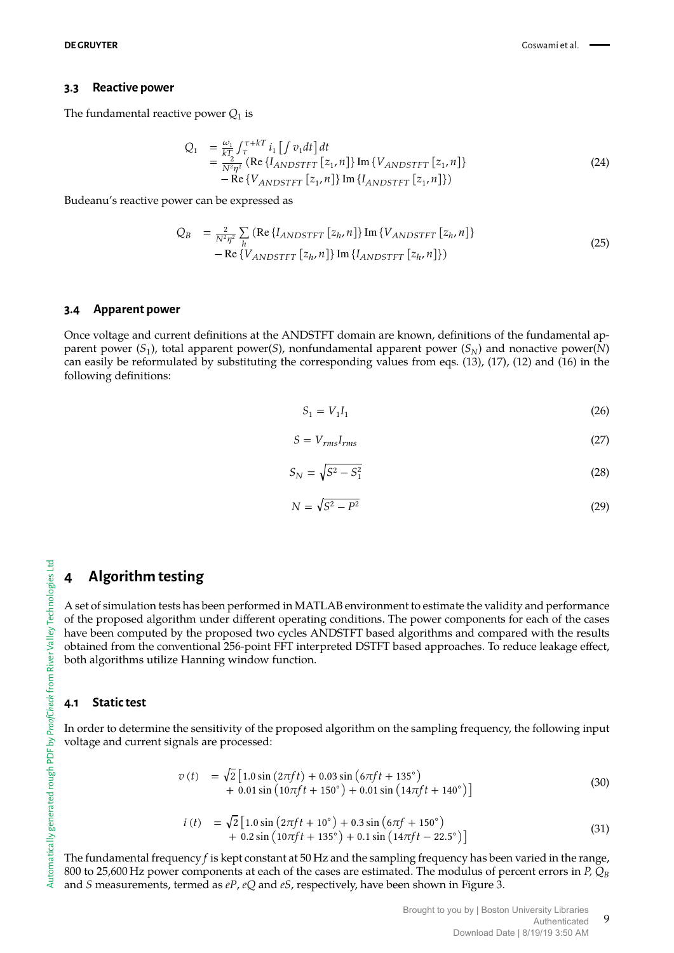#### **3.3 Reactive power**

The fundamental reactive power  $Q_1$  is

$$
Q_{1} = \frac{\omega_{1}}{kT} \int_{\tau}^{\tau+kT} i_{1} \left[ \int v_{1} dt \right] dt
$$
  
= 
$$
\frac{2}{N^{2} \eta^{2}} \left( \text{Re} \left\{ I_{ANDSTTT} \left[ z_{1}, n \right] \right\} \text{Im} \left\{ V_{ANDSTTT} \left[ z_{1}, n \right] \right\} - \text{Re} \left\{ V_{ANDSTTT} \left[ z_{1}, n \right] \right\} \text{Im} \left\{ I_{ANDSTTT} \left[ z_{1}, n \right] \right\} \right)
$$
 (24)

Budeanu's reactive power can be expressed as

$$
Q_B = \frac{2}{N^2 \eta^2} \sum_{h} \left( \text{Re} \{ I_{ANDSTFT} [z_h, n] \} \text{Im} \{ V_{ANDSTFT} [z_h, n] \} - \text{Re} \{ V_{ANDSTFT} [z_h, n] \} \text{Im} \{ I_{ANDSTFT} [z_h, n] \} \right)
$$
\n(25)

#### **3.4 Apparent power**

Once voltage and current definitions at the ANDSTFT domain are known, definitions of the fundamental apparent power (*S*<sup>1</sup> ), total apparent power(*S*), nonfundamental apparent power (*SN*) and nonactive power(*N*) can easily be reformulated by substituting the corresponding values from eqs. (13), (17), (12) and (16) in the following definitions:

$$
S_1 = V_1 I_1 \tag{26}
$$

$$
S = V_{rms}I_{rms} \tag{27}
$$

$$
S_N = \sqrt{S^2 - S_1^2} \tag{28}
$$

$$
N = \sqrt{S^2 - P^2} \tag{29}
$$

### **4 Algorithm testing**

A set of simulation tests has been performed in MATLAB environment to estimate the validity and performance of the proposed algorithm under different operating conditions. The power components for each of the cases have been computed by the proposed two cycles ANDSTFT based algorithms and compared with the results obtained from the conventional 256-point FFT interpreted DSTFT based approaches. To reduce leakage effect, both algorithms utilize Hanning window function.

#### **4.1 Static test**

In order to determine the sensitivity of the proposed algorithm on the sampling frequency, the following input voltage and current signals are processed:

$$
v(t) = \sqrt{2} \left[ 1.0 \sin \left( 2 \pi f t \right) + 0.03 \sin \left( 6 \pi f t + 135^{\circ} \right) + 0.01 \sin \left( 10 \pi f t + 150^{\circ} \right) + 0.01 \sin \left( 14 \pi f t + 140^{\circ} \right) \right]
$$
(30)

$$
i(t) = \sqrt{2} \left[ 1.0 \sin \left( 2 \pi f t + 10^{\circ} \right) + 0.3 \sin \left( 6 \pi f + 150^{\circ} \right) + 0.2 \sin \left( 10 \pi f t + 135^{\circ} \right) + 0.1 \sin \left( 14 \pi f t - 22.5^{\circ} \right) \right]
$$
(31)

The fundamental frequency *f* is kept constant at 50 Hz and the sampling frequency has been varied in the range, 800 to 25,600 Hz power components at each of the cases are estimated. The modulus of percent errors in *P, Q<sup>B</sup>* and *S* measurements, termed as *eP*, *eQ* and *eS*, respectively, have been shown in Figure 3.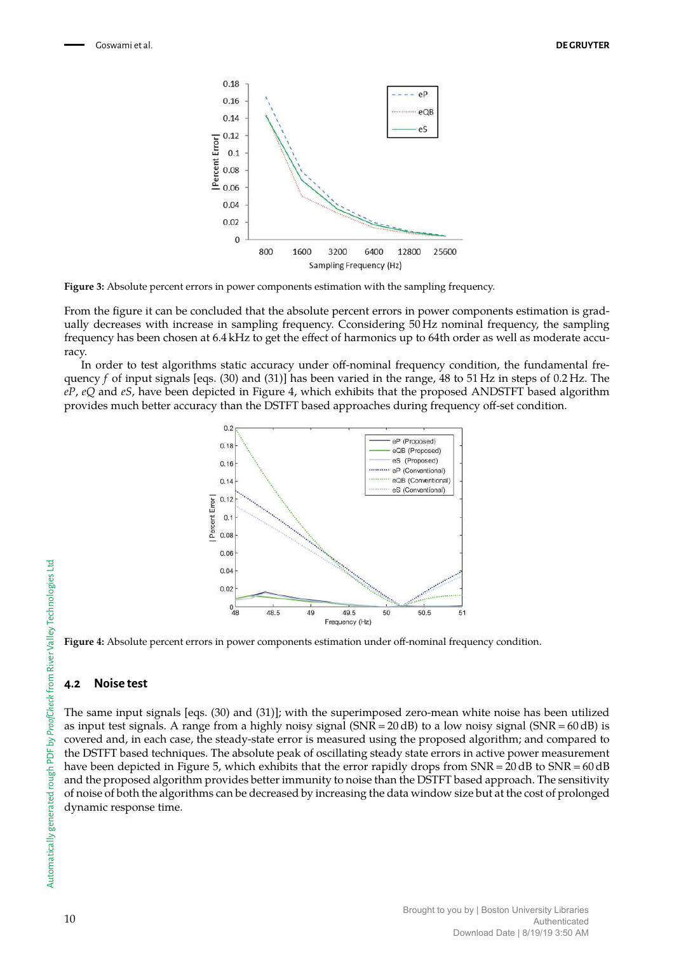

**Figure 3:** Absolute percent errors in power components estimation with the sampling frequency.

From the figure it can be concluded that the absolute percent errors in power components estimation is gradually decreases with increase in sampling frequency. Cconsidering 50 Hz nominal frequency, the sampling frequency has been chosen at 6.4 kHz to get the effect of harmonics up to 64th order as well as moderate accuracy.

In order to test algorithms static accuracy under off-nominal frequency condition, the fundamental frequency *f* of input signals [eqs. (30) and (31)] has been varied in the range, 48 to 51 Hz in steps of 0.2 Hz. The *eP*, *eQ* and *eS*, have been depicted in Figure 4, which exhibits that the proposed ANDSTFT based algorithm provides much better accuracy than the DSTFT based approaches during frequency off-set condition.



**Figure 4:** Absolute percent errors in power components estimation under off-nominal frequency condition.

#### **4.2 Noise test**

The same input signals [eqs. (30) and (31)]; with the superimposed zero-mean white noise has been utilized as input test signals. A range from a highly noisy signal (SNR = 20 dB) to a low noisy signal (SNR = 60 dB) is covered and, in each case, the steady-state error is measured using the proposed algorithm; and compared to the DSTFT based techniques. The absolute peak of oscillating steady state errors in active power measurement have been depicted in Figure 5, which exhibits that the error rapidly drops from SNR = 20 dB to SNR = 60 dB and the proposed algorithm provides better immunity to noise than the DSTFT based approach. The sensitivity of noise of both the algorithms can be decreased by increasing the data window size but at the cost of prolonged dynamic response time.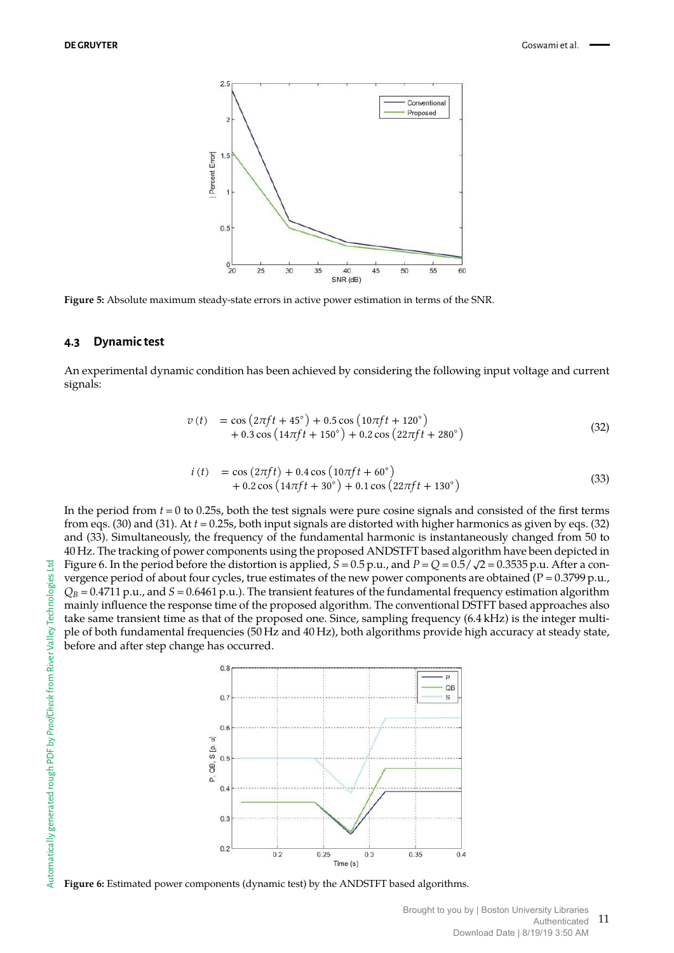

**Figure 5:** Absolute maximum steady-state errors in active power estimation in terms of the SNR.

#### **4.3 Dynamic test**

An experimental dynamic condition has been achieved by considering the following input voltage and current signals:

$$
v(t) = \cos\left(2\pi ft + 45^{\circ}\right) + 0.5\cos\left(10\pi ft + 120^{\circ}\right) + 0.3\cos\left(14\pi ft + 150^{\circ}\right) + 0.2\cos\left(22\pi ft + 280^{\circ}\right)
$$
(32)

$$
i(t) = \cos(2\pi ft) + 0.4\cos(10\pi ft + 60^{\circ}) + 0.2\cos(14\pi ft + 30^{\circ}) + 0.1\cos(22\pi ft + 130^{\circ})
$$
\n(33)

In the period from *t* = 0 to 0.25s, both the test signals were pure cosine signals and consisted of the first terms from eqs. (30) and (31). At *t* = 0.25s, both input signals are distorted with higher harmonics as given by eqs. (32) and (33). Simultaneously, the frequency of the fundamental harmonic is instantaneously changed from 50 to 40 Hz. The tracking of power components using the proposed ANDSTFT based algorithm have been depicted in Figure 6. In the period before the distortion is applied,  $S = 0.5$  p.u., and  $P = Q = 0.5/\sqrt{2} = 0.3535$  p.u. After a convergence period of about four cycles, true estimates of the new power components are obtained (P = 0.3799 p.u.,  $Q_B$  = 0.4711 p.u., and  $S$  = 0.6461 p.u.). The transient features of the fundamental frequency estimation algorithm mainly influence the response time of the proposed algorithm. The conventional DSTFT based approaches also take same transient time as that of the proposed one. Since, sampling frequency (6.4 kHz) is the integer multiple of both fundamental frequencies (50 Hz and 40 Hz), both algorithms provide high accuracy at steady state, before and after step change has occurred.



**Figure 6:** Estimated power components (dynamic test) by the ANDSTFT based algorithms.

묩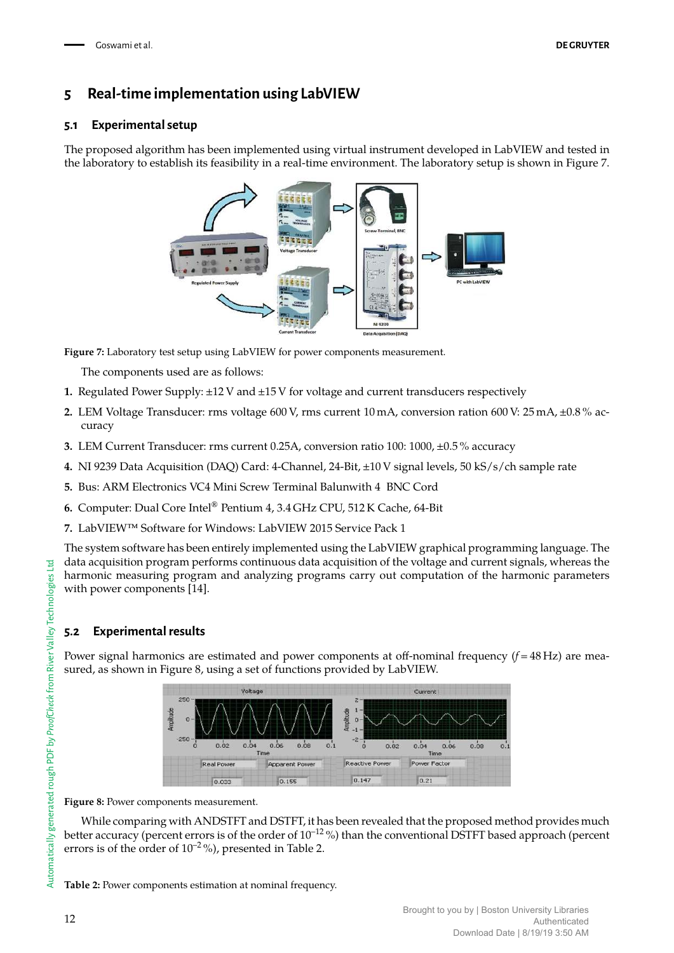# **5 Real-time implementation using LabVIEW**

### **5.1 Experimental setup**

The proposed algorithm has been implemented using virtual instrument developed in LabVIEW and tested in the laboratory to establish its feasibility in a real-time environment. The laboratory setup is shown in Figure 7.



**Figure 7:** Laboratory test setup using LabVIEW for power components measurement.

The components used are as follows:

- **1.** Regulated Power Supply: ±12 V and ±15 V for voltage and current transducers respectively
- **2.** LEM Voltage Transducer: rms voltage 600 V, rms current 10 mA, conversion ration 600 V: 25 mA, ±0.8 % accuracy
- **3.** LEM Current Transducer: rms current 0.25A, conversion ratio 100: 1000, ±0.5 % accuracy
- **4.** NI 9239 Data Acquisition (DAQ) Card: 4-Channel, 24-Bit, ±10 V signal levels, 50 kS/s/ch sample rate
- **5.** Bus: ARM Electronics VC4 Mini Screw Terminal Balunwith 4 BNC Cord
- **6.** Computer: Dual Core Intel® Pentium 4, 3.4 GHz CPU, 512 K Cache, 64-Bit
- **7.** LabVIEW™ Software for Windows: LabVIEW 2015 Service Pack 1

The system software has been entirely implemented using the LabVIEW graphical programming language. The data acquisition program performs continuous data acquisition of the voltage and current signals, whereas the harmonic measuring program and analyzing programs carry out computation of the harmonic parameters with power components [14].

### **5.2 Experimental results**

Power signal harmonics are estimated and power components at off-nominal frequency (*f* = 48 Hz) are measured, as shown in Figure 8, using a set of functions provided by LabVIEW.



**Figure 8:** Power components measurement.

While comparing with ANDSTFT and DSTFT, it has been revealed that the proposed method provides much better accuracy (percent errors is of the order of  $10^{-12}$ %) than the conventional DSTFT based approach (percent errors is of the order of  $10^{-2}$ %), presented in Table 2.

**Table 2:** Power components estimation at nominal frequency.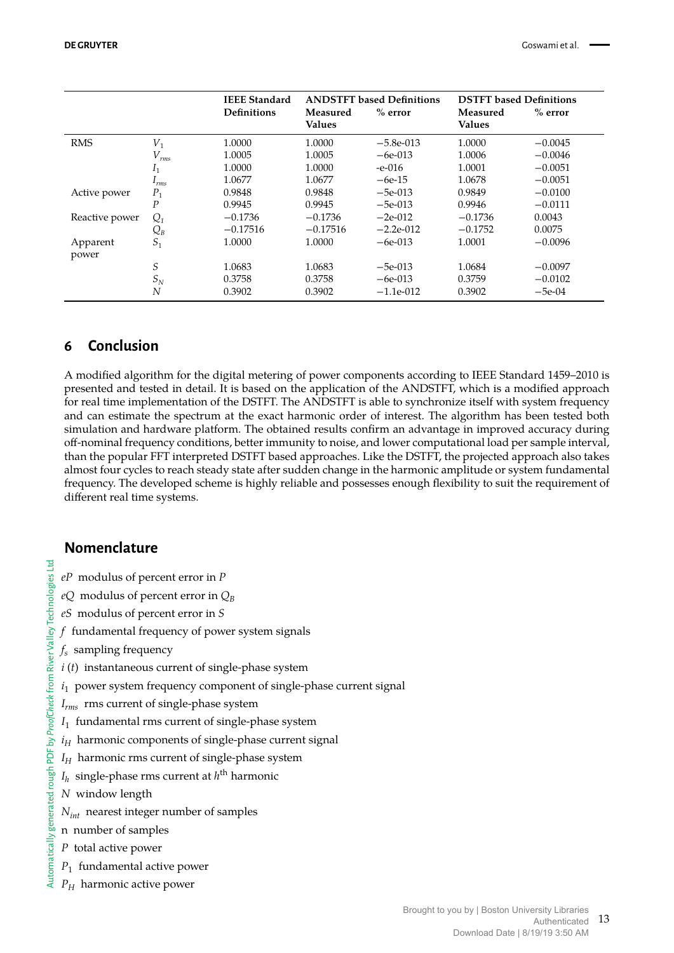|                |                  | <b>IEEE Standard</b><br><b>Definitions</b> | Measured<br><b>Values</b> | <b>ANDSTFT</b> based Definitions<br>$%$ error | <b>DSTFT</b> based Definitions<br>Measured<br><b>Values</b> | $%$ error |
|----------------|------------------|--------------------------------------------|---------------------------|-----------------------------------------------|-------------------------------------------------------------|-----------|
| <b>RMS</b>     | $V_1$            | 1.0000                                     | 1.0000                    | $-5.8e-013$                                   | 1.0000                                                      | $-0.0045$ |
|                | $V_{rms}$        | 1.0005                                     | 1.0005                    | $-6e-013$                                     | 1.0006                                                      | $-0.0046$ |
|                | 1 <sub>1</sub>   | 1.0000                                     | 1.0000                    | $-e-016$                                      | 1.0001                                                      | $-0.0051$ |
|                | 1 <sub>rms</sub> | 1.0677                                     | 1.0677                    | $-6e-15$                                      | 1.0678                                                      | $-0.0051$ |
| Active power   | $P_1$            | 0.9848                                     | 0.9848                    | $-5e-013$                                     | 0.9849                                                      | $-0.0100$ |
|                | $\overline{P}$   | 0.9945                                     | 0.9945                    | $-5e-013$                                     | 0.9946                                                      | $-0.0111$ |
| Reactive power | $Q_1$            | $-0.1736$                                  | $-0.1736$                 | $-2e-012$                                     | $-0.1736$                                                   | 0.0043    |
|                | $Q_{B}$          | $-0.17516$                                 | $-0.17516$                | $-2.2e-012$                                   | $-0.1752$                                                   | 0.0075    |
| Apparent       | $S_1$            | 1.0000                                     | 1.0000                    | $-6e-013$                                     | 1.0001                                                      | $-0.0096$ |
| power          |                  |                                            |                           |                                               |                                                             |           |
|                | S                | 1.0683                                     | 1.0683                    | $-5e-013$                                     | 1.0684                                                      | $-0.0097$ |
|                | $S_N$            | 0.3758                                     | 0.3758                    | $-6e-013$                                     | 0.3759                                                      | $-0.0102$ |
|                | N                | 0.3902                                     | 0.3902                    | $-1.1e-012$                                   | 0.3902                                                      | $-5e-04$  |

# **6 Conclusion**

A modified algorithm for the digital metering of power components according to IEEE Standard 1459–2010 is presented and tested in detail. It is based on the application of the ANDSTFT, which is a modified approach for real time implementation of the DSTFT. The ANDSTFT is able to synchronize itself with system frequency and can estimate the spectrum at the exact harmonic order of interest. The algorithm has been tested both simulation and hardware platform. The obtained results confirm an advantage in improved accuracy during off-nominal frequency conditions, better immunity to noise, and lower computational load per sample interval, than the popular FFT interpreted DSTFT based approaches. Like the DSTFT, the projected approach also takes almost four cycles to reach steady state after sudden change in the harmonic amplitude or system fundamental frequency. The developed scheme is highly reliable and possesses enough flexibility to suit the requirement of different real time systems.

# **Nomenclature**

- *eP* modulus of percent error in *P*
- *eQ* modulus of percent error in  $Q_B$
- *eS* modulus of percent error in *S*
- *f* fundamental frequency of power system signals
- *f s* sampling frequency

River Valley Technologies Ltd

- *i* (*t*) instantaneous current of single-phase system
- $i<sub>1</sub>$  power system frequency component of single-phase current signal
- *Irms* rms current of single-phase system
- *I*1 fundamental rms current of single-phase system
- PDF by ProofCheck from  $i_H$  harmonic components of single-phase current signal
	- *I<sup>H</sup>* harmonic rms current of single-phase system
	- *Ih* single-phase rms current at *h* th harmonic
	- *N* window length
	- *Nint* nearest integer number of samples
- Automatically generated rough PDF by *ProofCheck* from River Valley Technologies Ltd n number of samples
	- *P* total active power
	- *P*1  $P_1$  fundamental active power
	- *P<sup>H</sup>* harmonic active power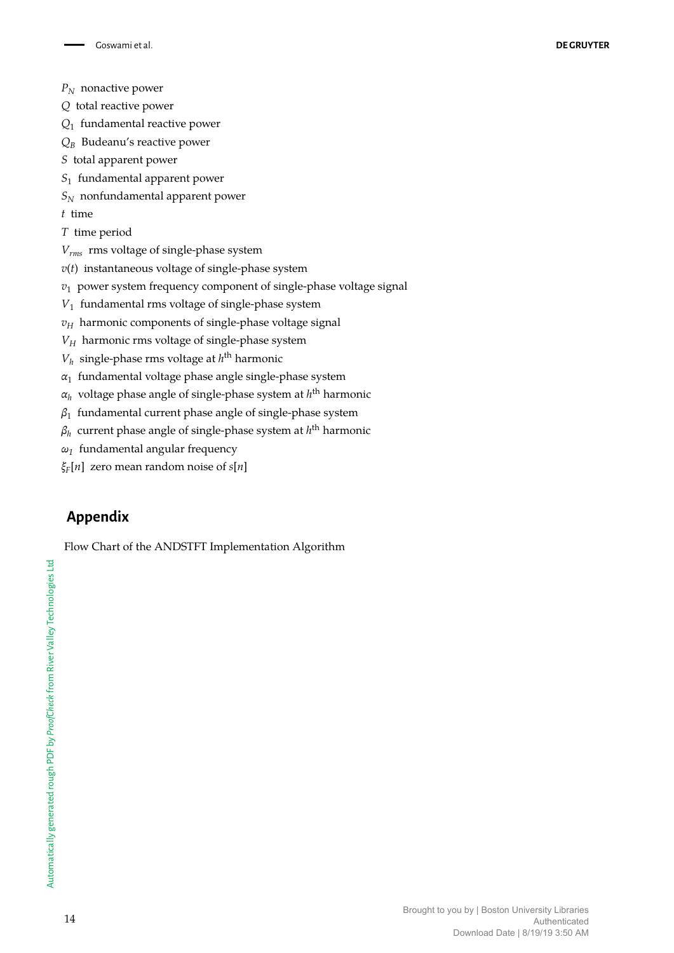- *P<sup>N</sup>* nonactive power
- *Q* total reactive power
- *Q*1 fundamental reactive power
- *Q<sup>B</sup>* Budeanu's reactive power
- *S* total apparent power
- *S*1 fundamental apparent power
- *S<sup>N</sup>* nonfundamental apparent power
- *t* time
- *T* time period
- *Vrms* rms voltage of single-phase system
- *v*(*t*) instantaneous voltage of single-phase system
- *v*<sup>1</sup> power system frequency component of single-phase voltage signal
- *V*1 fundamental rms voltage of single-phase system
- $v_H$  harmonic components of single-phase voltage signal
- $V_H$  harmonic rms voltage of single-phase system
- $V_h$  single-phase rms voltage at  $h^{\text{th}}$  harmonic
- *α*1 fundamental voltage phase angle single-phase system
- *α<sup>h</sup>* voltage phase angle of single-phase system at *h* th harmonic
- *β*1 fundamental current phase angle of single-phase system
- *βh* current phase angle of single-phase system at *h* th harmonic
- *ω1* fundamental angular frequency
- *ξF* [*n*] zero mean random noise of *s*[*n*]

# **Appendix**

Flow Chart of the ANDSTFT Implementation Algorithm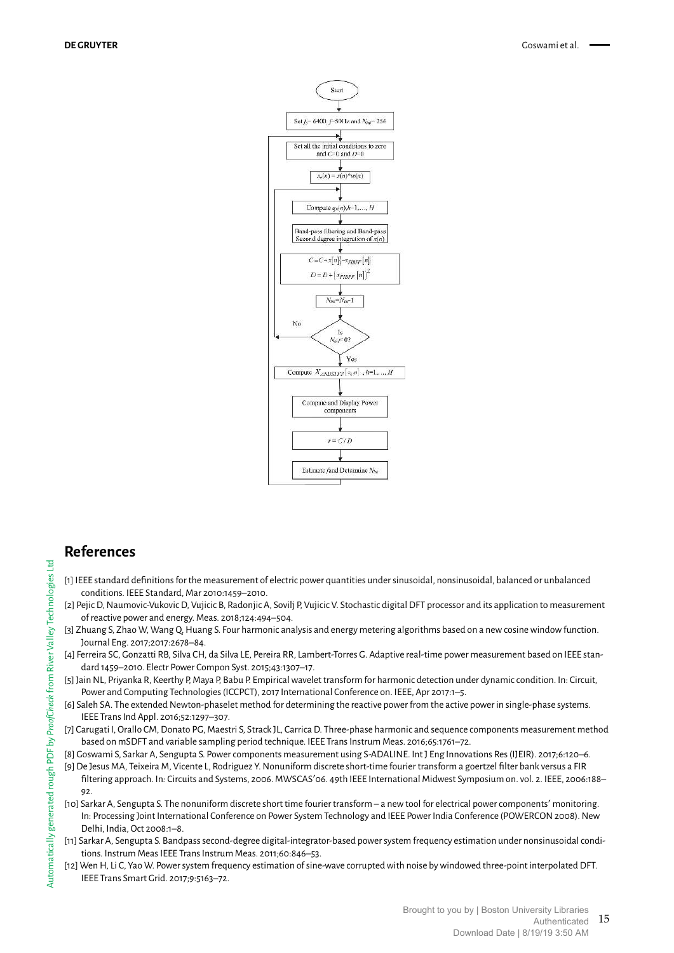

# **References**

- [1] IEEE standard definitions for the measurement of electric power quantities under sinusoidal, nonsinusoidal, balanced or unbalanced conditions. IEEE Standard, Mar 2010:1459–2010.
- [2] Pejic D, Naumovic-Vukovic D, Vujicic B, Radonjic A, Sovilj P, Vujicic V. Stochastic digital DFT processor and its application to measurement of reactive power and energy. Meas. 2018;124:494–504.
- [3] Zhuang S, Zhao W, Wang Q, Huang S. Four harmonic analysis and energy metering algorithms based on a new cosine window function. Journal Eng. 2017;2017:2678–84.
- [4] Ferreira SC, Gonzatti RB, Silva CH, da Silva LE, Pereira RR, Lambert-Torres G. Adaptive real-time power measurement based on IEEE standard 1459–2010. Electr Power Compon Syst. 2015;43:1307–17.
- [5] Jain NL, Priyanka R, Keerthy P, Maya P, Babu P. Empirical wavelet transform for harmonic detection under dynamic condition. In: Circuit, Power and Computing Technologies (ICCPCT), 2017 International Conference on. IEEE, Apr 2017:1–5.
- [6] Saleh SA. The extended Newton-phaselet method for determining the reactive power from the active power in single-phase systems. IEEE Trans Ind Appl. 2016;52:1297–307.
- [7] Carugati I, Orallo CM, Donato PG, Maestri S, Strack JL, Carrica D. Three-phase harmonic and sequence components measurement method based on mSDFT and variable sampling period technique. IEEE Trans Instrum Meas. 2016;65:1761–72.
- [8] Goswami S, Sarkar A, Sengupta S. Power components measurement using S-ADALINE. Int J Eng Innovations Res (IJEIR). 2017;6:120–6.
- [9] De Jesus MA, Teixeira M, Vicente L, Rodriguez Y. Nonuniform discrete short-time fourier transform a goertzel filter bank versus a FIR filtering approach. In*:* Circuits and Systems, 2006. MWSCAS'06. 49th IEEE International Midwest Symposium on. vol. 2. IEEE, 2006:188– 92.
- [10] Sarkar A, Sengupta S. The nonuniform discrete short time fourier transform a new tool for electrical power components' monitoring. In: Processing Joint International Conference on Power System Technology and IEEE Power India Conference (POWERCON2008). New Delhi, India, Oct 2008:1–8.
- [11] Sarkar A, Sengupta S. Bandpass second-degree digital-integrator-based power system frequency estimation under nonsinusoidal conditions. Instrum Meas IEEE Trans Instrum Meas. 2011;60:846–53.
- [12] Wen H, Li C, Yao W. Power system frequency estimation of sine-wave corrupted with noise by windowed three-point interpolated DFT. IEEE Trans Smart Grid. 2017;9:5163–72.